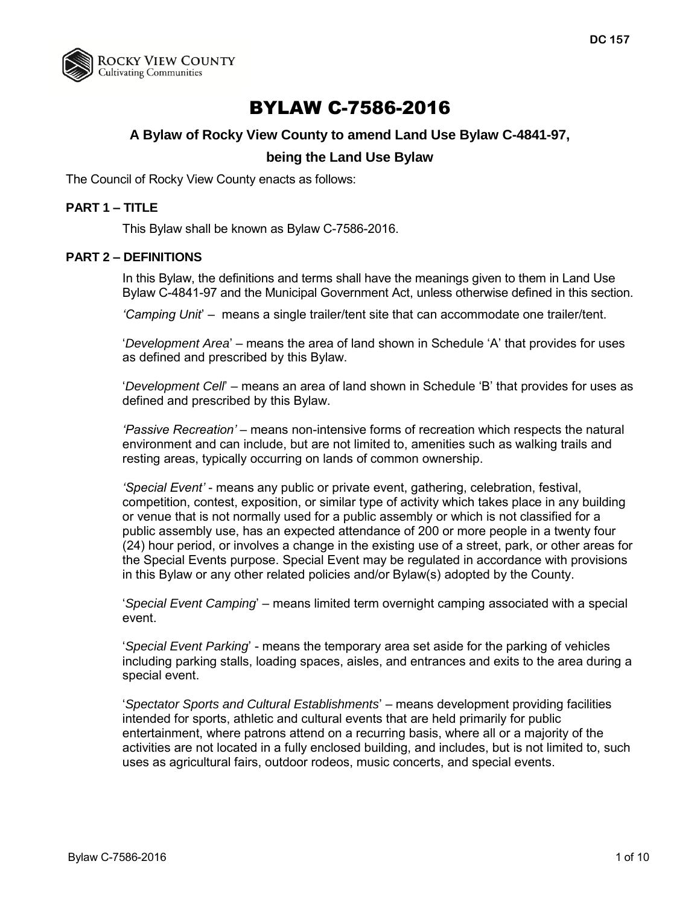

# BYLAW C-7586-2016

# **A Bylaw of Rocky View County to amend Land Use Bylaw C-4841-97,**

## **being the Land Use Bylaw**

The Council of Rocky View County enacts as follows:

## **PART 1 – TITLE**

This Bylaw shall be known as Bylaw C-7586-2016.

#### **PART 2 – DEFINITIONS**

In this Bylaw, the definitions and terms shall have the meanings given to them in Land Use Bylaw C-4841-97 and the Municipal Government Act, unless otherwise defined in this section.

*'Camping Unit*' – means a single trailer/tent site that can accommodate one trailer/tent.

'*Development Area*' – means the area of land shown in Schedule 'A' that provides for uses as defined and prescribed by this Bylaw.

'*Development Cell*' – means an area of land shown in Schedule 'B' that provides for uses as defined and prescribed by this Bylaw.

*'Passive Recreation'* – means non-intensive forms of recreation which respects the natural environment and can include, but are not limited to, amenities such as walking trails and resting areas, typically occurring on lands of common ownership.

*'Special Event'* - means any public or private event, gathering, celebration, festival, competition, contest, exposition, or similar type of activity which takes place in any building or venue that is not normally used for a public assembly or which is not classified for a public assembly use, has an expected attendance of 200 or more people in a twenty four (24) hour period, or involves a change in the existing use of a street, park, or other areas for the Special Events purpose. Special Event may be regulated in accordance with provisions in this Bylaw or any other related policies and/or Bylaw(s) adopted by the County.

'*Special Event Camping*' – means limited term overnight camping associated with a special event.

'*Special Event Parking*' - means the temporary area set aside for the parking of vehicles including parking stalls, loading spaces, aisles, and entrances and exits to the area during a special event.

'*Spectator Sports and Cultural Establishments*' – means development providing facilities intended for sports, athletic and cultural events that are held primarily for public entertainment, where patrons attend on a recurring basis, where all or a majority of the activities are not located in a fully enclosed building, and includes, but is not limited to, such uses as agricultural fairs, outdoor rodeos, music concerts, and special events.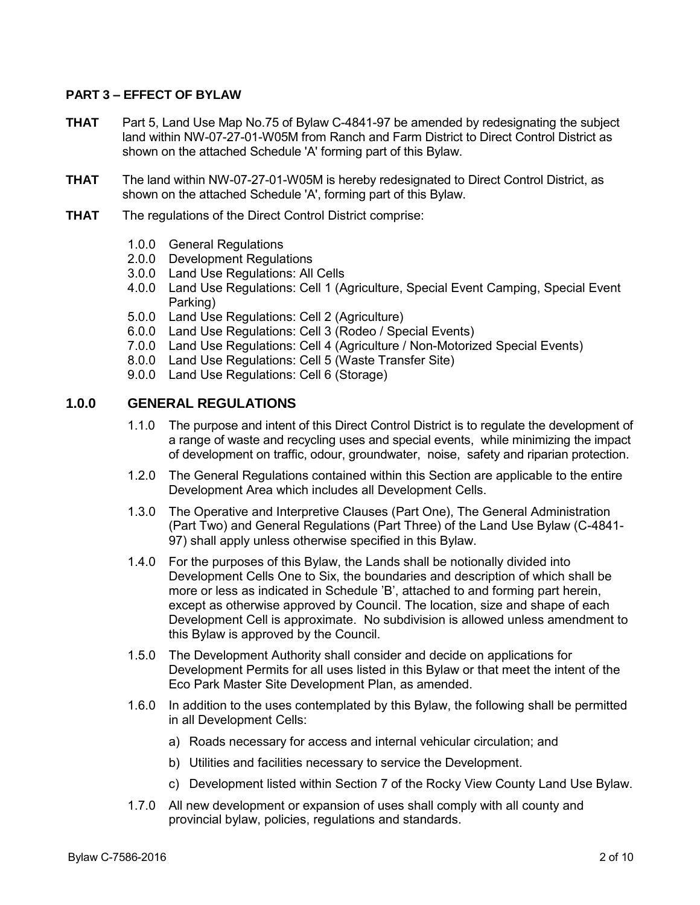### **PART 3 – EFFECT OF BYLAW**

- **THAT** Part 5, Land Use Map No.75 of Bylaw C-4841-97 be amended by redesignating the subject land within NW-07-27-01-W05M from Ranch and Farm District to Direct Control District as shown on the attached Schedule 'A' forming part of this Bylaw.
- **THAT** The land within NW-07-27-01-W05M is hereby redesignated to Direct Control District, as shown on the attached Schedule 'A', forming part of this Bylaw.
- **THAT** The regulations of the Direct Control District comprise:
	- 1.0.0 General Regulations
	- 2.0.0 Development Regulations
	- 3.0.0 Land Use Regulations: All Cells
	- 4.0.0 Land Use Regulations: Cell 1 (Agriculture, Special Event Camping, Special Event Parking)
	- 5.0.0 Land Use Regulations: Cell 2 (Agriculture)
	- 6.0.0 Land Use Regulations: Cell 3 (Rodeo / Special Events)
	- 7.0.0 Land Use Regulations: Cell 4 (Agriculture / Non-Motorized Special Events)
	- 8.0.0 Land Use Regulations: Cell 5 (Waste Transfer Site)
	- 9.0.0 Land Use Regulations: Cell 6 (Storage)

## **1.0.0 GENERAL REGULATIONS**

- 1.1.0 The purpose and intent of this Direct Control District is to regulate the development of a range of waste and recycling uses and special events, while minimizing the impact of development on traffic, odour, groundwater, noise, safety and riparian protection.
- 1.2.0 The General Regulations contained within this Section are applicable to the entire Development Area which includes all Development Cells.
- 1.3.0 The Operative and Interpretive Clauses (Part One), The General Administration (Part Two) and General Regulations (Part Three) of the Land Use Bylaw (C-4841- 97) shall apply unless otherwise specified in this Bylaw.
- 1.4.0 For the purposes of this Bylaw, the Lands shall be notionally divided into Development Cells One to Six, the boundaries and description of which shall be more or less as indicated in Schedule 'B', attached to and forming part herein, except as otherwise approved by Council. The location, size and shape of each Development Cell is approximate. No subdivision is allowed unless amendment to this Bylaw is approved by the Council.
- 1.5.0 The Development Authority shall consider and decide on applications for Development Permits for all uses listed in this Bylaw or that meet the intent of the Eco Park Master Site Development Plan, as amended.
- 1.6.0 In addition to the uses contemplated by this Bylaw, the following shall be permitted in all Development Cells:
	- a) Roads necessary for access and internal vehicular circulation; and
	- b) Utilities and facilities necessary to service the Development.
	- c) Development listed within Section 7 of the Rocky View County Land Use Bylaw.
- 1.7.0 All new development or expansion of uses shall comply with all county and provincial bylaw, policies, regulations and standards.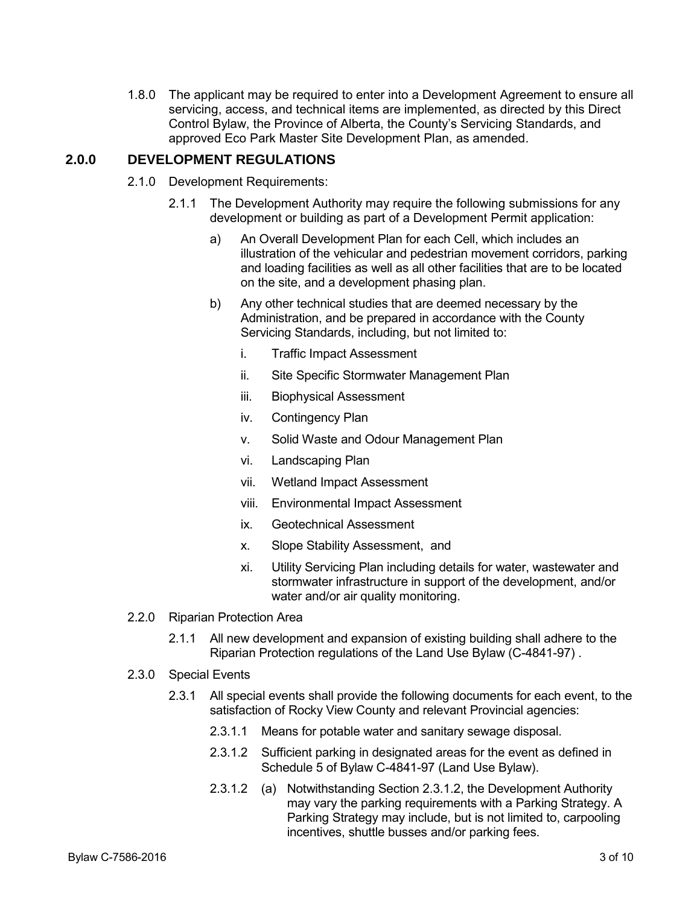1.8.0 The applicant may be required to enter into a Development Agreement to ensure all servicing, access, and technical items are implemented, as directed by this Direct Control Bylaw, the Province of Alberta, the County's Servicing Standards, and approved Eco Park Master Site Development Plan, as amended.

## **2.0.0 DEVELOPMENT REGULATIONS**

- 2.1.0 Development Requirements:
	- 2.1.1 The Development Authority may require the following submissions for any development or building as part of a Development Permit application:
		- a) An Overall Development Plan for each Cell, which includes an illustration of the vehicular and pedestrian movement corridors, parking and loading facilities as well as all other facilities that are to be located on the site, and a development phasing plan.
		- b) Any other technical studies that are deemed necessary by the Administration, and be prepared in accordance with the County Servicing Standards, including, but not limited to:
			- i. Traffic Impact Assessment
			- ii. Site Specific Stormwater Management Plan
			- iii. Biophysical Assessment
			- iv. Contingency Plan
			- v. Solid Waste and Odour Management Plan
			- vi. Landscaping Plan
			- vii. Wetland Impact Assessment
			- viii. Environmental Impact Assessment
			- ix. Geotechnical Assessment
			- x. Slope Stability Assessment, and
			- xi. Utility Servicing Plan including details for water, wastewater and stormwater infrastructure in support of the development, and/or water and/or air quality monitoring.
- 2.2.0 Riparian Protection Area
	- 2.1.1 All new development and expansion of existing building shall adhere to the Riparian Protection regulations of the Land Use Bylaw (C-4841-97) .
- 2.3.0 Special Events
	- 2.3.1 All special events shall provide the following documents for each event, to the satisfaction of Rocky View County and relevant Provincial agencies:
		- 2.3.1.1 Means for potable water and sanitary sewage disposal.
		- 2.3.1.2 Sufficient parking in designated areas for the event as defined in Schedule 5 of Bylaw C-4841-97 (Land Use Bylaw).
		- 2.3.1.2 (a) Notwithstanding Section 2.3.1.2, the Development Authority may vary the parking requirements with a Parking Strategy. A Parking Strategy may include, but is not limited to, carpooling incentives, shuttle busses and/or parking fees.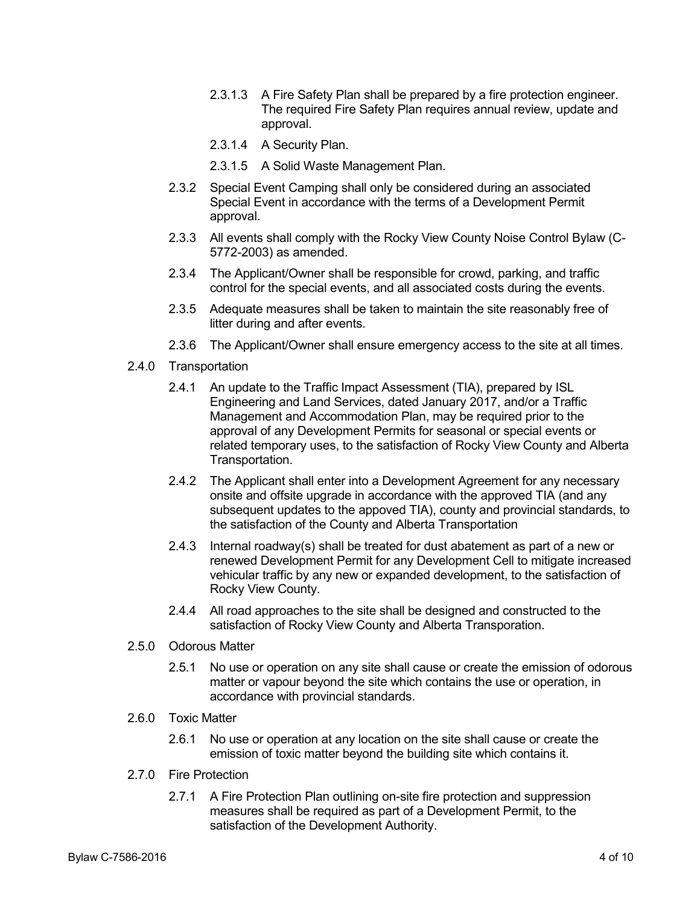- 2.3.1.3 A Fire Safety Plan shall be prepared by a fire protection engineer. The required Fire Safety Plan requires annual review, update and approval.
- 2.3.1.4 A Security Plan.
- 2.3.1.5 A Solid Waste Management Plan.
- 2.3.2 Special Event Camping shall only be considered during an associated Special Event in accordance with the terms of a Development Permit approval.
- 2.3.3 All events shall comply with the Rocky View County Noise Control Bylaw (C-5772-2003) as amended.
- 2.3.4 The Applicant/Owner shall be responsible for crowd, parking, and traffic control for the special events, and all associated costs during the events.
- 2.3.5 Adequate measures shall be taken to maintain the site reasonably free of litter during and after events.
- 2.3.6 The Applicant/Owner shall ensure emergency access to the site at all times.
- 2.4.0 Transportation
	- 2.4.1 An update to the Traffic Impact Assessment (TIA), prepared by ISL Engineering and Land Services, dated January 2017, and/or a Traffic Management and Accommodation Plan, may be required prior to the approval of any Development Permits for seasonal or special events or related temporary uses, to the satisfaction of Rocky View County and Alberta Transportation.
	- 2.4.2 The Applicant shall enter into a Development Agreement for any necessary onsite and offsite upgrade in accordance with the approved TIA (and any subsequent updates to the appoved TIA), county and provincial standards, to the satisfaction of the County and Alberta Transportation
	- 2.4.3 Internal roadway(s) shall be treated for dust abatement as part of a new or renewed Development Permit for any Development Cell to mitigate increased vehicular traffic by any new or expanded development, to the satisfaction of Rocky View County.
	- 2.4.4 All road approaches to the site shall be designed and constructed to the satisfaction of Rocky View County and Alberta Transporation.
- 2.5.0 Odorous Matter
	- 2.5.1 No use or operation on any site shall cause or create the emission of odorous matter or vapour beyond the site which contains the use or operation, in accordance with provincial standards.
- 2.6.0 Toxic Matter
	- 2.6.1 No use or operation at any location on the site shall cause or create the emission of toxic matter beyond the building site which contains it.
- 2.7.0 Fire Protection
	- 2.7.1 A Fire Protection Plan outlining on-site fire protection and suppression measures shall be required as part of a Development Permit, to the satisfaction of the Development Authority.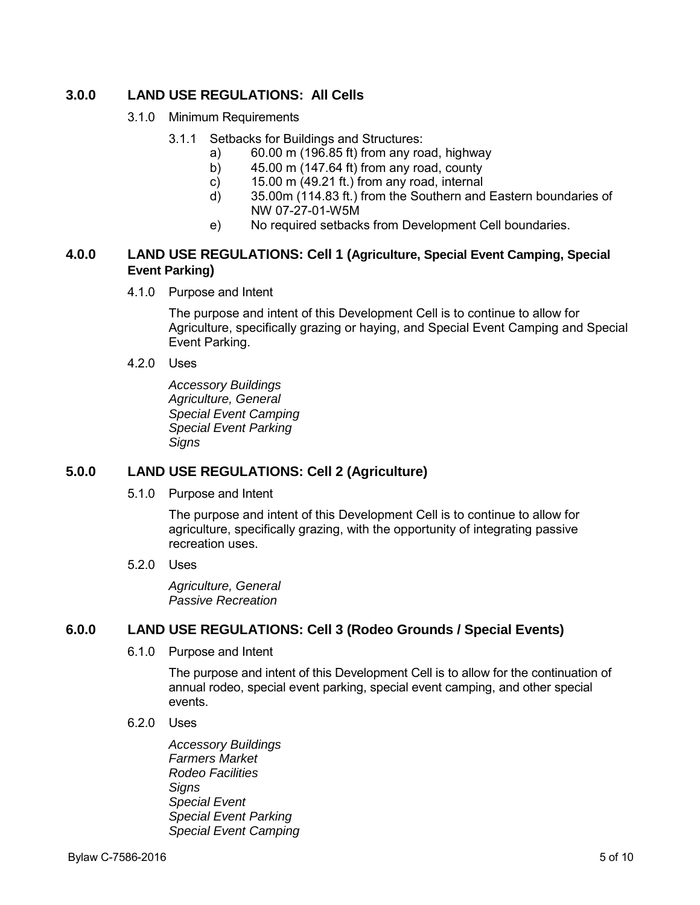# **3.0.0 LAND USE REGULATIONS: All Cells**

- 3.1.0 Minimum Requirements
	- 3.1.1 Setbacks for Buildings and Structures:
		- a) 60.00 m (196.85 ft) from any road, highway
		- b) 45.00 m (147.64 ft) from any road, county
		- c) 15.00 m (49.21 ft.) from any road, internal
		- d) 35.00m (114.83 ft.) from the Southern and Eastern boundaries of NW 07-27-01-W5M
		- e) No required setbacks from Development Cell boundaries.

## **4.0.0 LAND USE REGULATIONS: Cell 1 (Agriculture, Special Event Camping, Special Event Parking)**

4.1.0 Purpose and Intent

The purpose and intent of this Development Cell is to continue to allow for Agriculture, specifically grazing or haying, and Special Event Camping and Special Event Parking.

4.2.0 Uses

*Accessory Buildings Agriculture, General Special Event Camping Special Event Parking Signs* 

# **5.0.0 LAND USE REGULATIONS: Cell 2 (Agriculture)**

5.1.0 Purpose and Intent

The purpose and intent of this Development Cell is to continue to allow for agriculture, specifically grazing, with the opportunity of integrating passive recreation uses.

5.2.0 Uses

*Agriculture, General Passive Recreation* 

## **6.0.0 LAND USE REGULATIONS: Cell 3 (Rodeo Grounds / Special Events)**

6.1.0 Purpose and Intent

The purpose and intent of this Development Cell is to allow for the continuation of annual rodeo, special event parking, special event camping, and other special events.

6.2.0 Uses

*Accessory Buildings Farmers Market Rodeo Facilities Signs Special Event Special Event Parking Special Event Camping*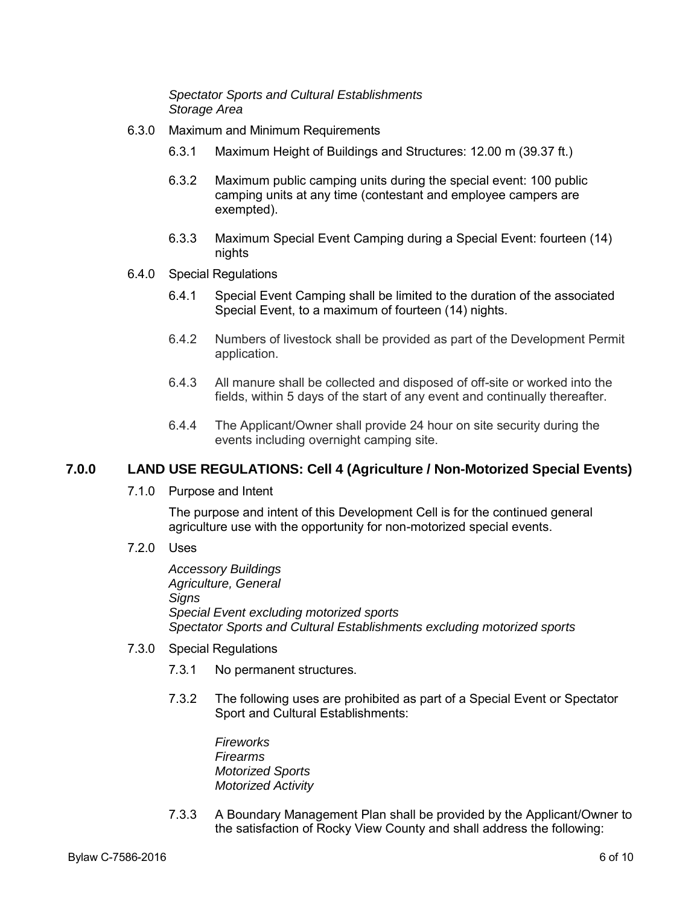*Spectator Sports and Cultural Establishments Storage Area* 

- 6.3.0 Maximum and Minimum Requirements
	- 6.3.1 Maximum Height of Buildings and Structures: 12.00 m (39.37 ft.)
	- 6.3.2 Maximum public camping units during the special event: 100 public camping units at any time (contestant and employee campers are exempted).
	- 6.3.3 Maximum Special Event Camping during a Special Event: fourteen (14) **nights**
- 6.4.0 Special Regulations
	- 6.4.1 Special Event Camping shall be limited to the duration of the associated Special Event, to a maximum of fourteen (14) nights.
	- 6.4.2 Numbers of livestock shall be provided as part of the Development Permit application.
	- 6.4.3 All manure shall be collected and disposed of off-site or worked into the fields, within 5 days of the start of any event and continually thereafter.
	- 6.4.4 The Applicant/Owner shall provide 24 hour on site security during the events including overnight camping site.

# **7.0.0 LAND USE REGULATIONS: Cell 4 (Agriculture / Non-Motorized Special Events)**

7.1.0 Purpose and Intent

The purpose and intent of this Development Cell is for the continued general agriculture use with the opportunity for non-motorized special events.

7.2.0 Uses

*Accessory Buildings Agriculture, General Signs Special Event excluding motorized sports Spectator Sports and Cultural Establishments excluding motorized sports* 

- 7.3.0 Special Regulations
	- 7*.*3*.*1 No permanent structures.
	- 7.3.2 The following uses are prohibited as part of a Special Event or Spectator Sport and Cultural Establishments:

*Fireworks Firearms Motorized Sports Motorized Activity* 

7.3.3 A Boundary Management Plan shall be provided by the Applicant/Owner to the satisfaction of Rocky View County and shall address the following: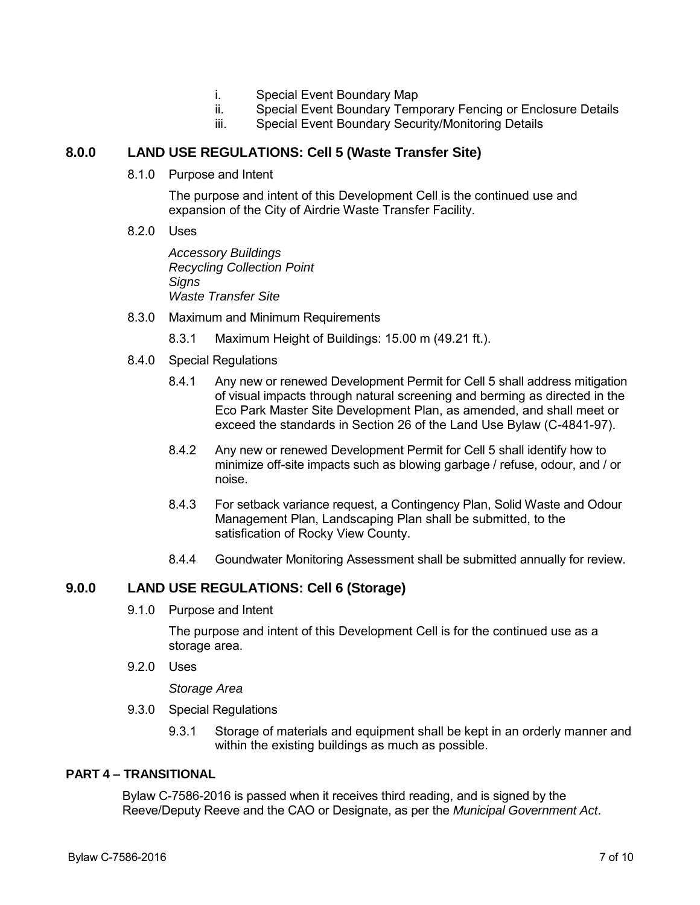- i. Special Event Boundary Map
- ii. Special Event Boundary Temporary Fencing or Enclosure Details
- iii. Special Event Boundary Security/Monitoring Details

## **8.0.0 LAND USE REGULATIONS: Cell 5 (Waste Transfer Site)**

8.1.0 Purpose and Intent

The purpose and intent of this Development Cell is the continued use and expansion of the City of Airdrie Waste Transfer Facility.

8.2.0 Uses

*Accessory Buildings Recycling Collection Point Signs Waste Transfer Site* 

8.3.0 Maximum and Minimum Requirements

8.3.1 Maximum Height of Buildings: 15.00 m (49.21 ft.).

- 8.4.0 Special Regulations
	- 8.4.1 Any new or renewed Development Permit for Cell 5 shall address mitigation of visual impacts through natural screening and berming as directed in the Eco Park Master Site Development Plan, as amended, and shall meet or exceed the standards in Section 26 of the Land Use Bylaw (C-4841-97).
	- 8.4.2 Any new or renewed Development Permit for Cell 5 shall identify how to minimize off-site impacts such as blowing garbage / refuse, odour, and / or noise.
	- 8.4.3 For setback variance request, a Contingency Plan, Solid Waste and Odour Management Plan, Landscaping Plan shall be submitted, to the satisfication of Rocky View County.
	- 8.4.4 Goundwater Monitoring Assessment shall be submitted annually for review.

## **9.0.0 LAND USE REGULATIONS: Cell 6 (Storage)**

9.1.0 Purpose and Intent

The purpose and intent of this Development Cell is for the continued use as a storage area.

9.2.0 Uses

*Storage Area* 

- 9.3.0 Special Regulations
	- 9.3.1 Storage of materials and equipment shall be kept in an orderly manner and within the existing buildings as much as possible.

### **PART 4 – TRANSITIONAL**

Bylaw C-7586-2016 is passed when it receives third reading, and is signed by the Reeve/Deputy Reeve and the CAO or Designate, as per the *Municipal Government Act*.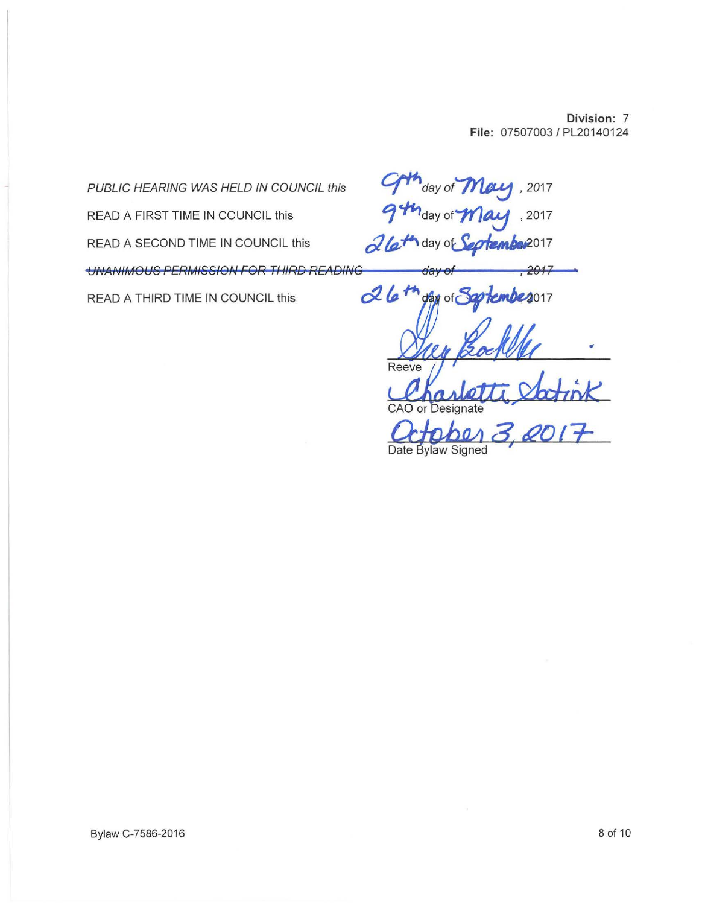**Division:** 7 **File:** 07507003 I PL20140124

PUBLIC HEARING WAS HELD IN COUNCIL this  $\int d^4x \, dx$  of  $\int d^4x \, dx$ , 2017 READ A FIRST TIME IN COUNCIL this **Example 2017** day of **May**, 2017 READ A SECOND TIME IN COUNCIL this  $\alpha$  (a<sup>t</sup>) day of Section bas<sup>2017</sup>  $U$ NANIMOUS PERMISSION FOR THIRD READING  $\qquad \qquad$  day  $26<sup>t</sup>$ READ A THIRD TIME IN COUNCIL this  $2017$  $\Omega$ Reeve CAO or Designate *f2:/t;J>M* **4** *ti?Olr*  Date Bylaw Signed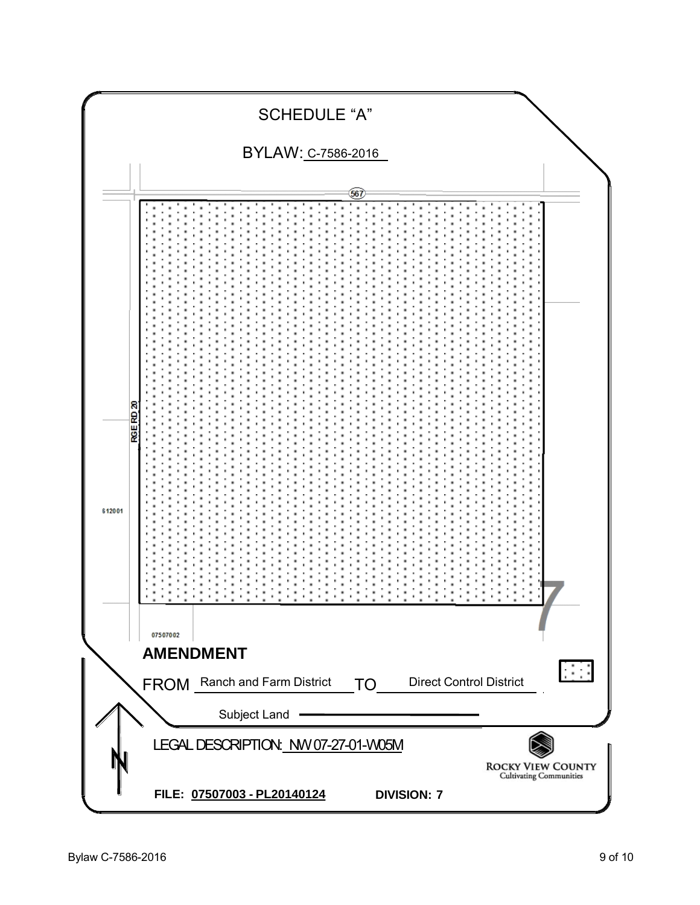